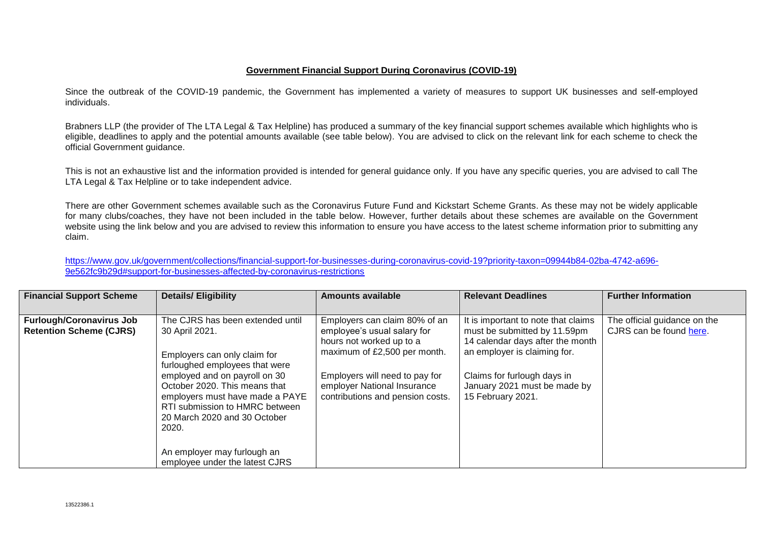## **Government Financial Support During Coronavirus (COVID-19)**

Since the outbreak of the COVID-19 pandemic, the Government has implemented a variety of measures to support UK businesses and self-employed individuals.

Brabners LLP (the provider of The LTA Legal & Tax Helpline) has produced a summary of the key financial support schemes available which highlights who is eligible, deadlines to apply and the potential amounts available (see table below). You are advised to click on the relevant link for each scheme to check the official Government guidance.

This is not an exhaustive list and the information provided is intended for general guidance only. If you have any specific queries, you are advised to call The LTA Legal & Tax Helpline or to take independent advice.

There are other Government schemes available such as the Coronavirus Future Fund and Kickstart Scheme Grants. As these may not be widely applicable for many clubs/coaches, they have not been included in the table below. However, further details about these schemes are available on the Government website using the link below and you are advised to review this information to ensure you have access to the latest scheme information prior to submitting any claim.

[https://www.gov.uk/government/collections/financial-support-for-businesses-during-coronavirus-covid-19?priority-taxon=09944b84-02ba-4742-a696-](https://www.gov.uk/government/collections/financial-support-for-businesses-during-coronavirus-covid-19?priority-taxon=09944b84-02ba-4742-a696-9e562fc9b29d#support-for-businesses-affected-by-coronavirus-restrictions) [9e562fc9b29d#support-for-businesses-affected-by-coronavirus-restrictions](https://www.gov.uk/government/collections/financial-support-for-businesses-during-coronavirus-covid-19?priority-taxon=09944b84-02ba-4742-a696-9e562fc9b29d#support-for-businesses-affected-by-coronavirus-restrictions)

| <b>Financial Support Scheme</b>                                   | <b>Details/ Eligibility</b>                                                                                                                                                                                                                                                                          | <b>Amounts available</b>                                                                                                                                                                                                      | <b>Relevant Deadlines</b>                                                                                                                                                                                                   | <b>Further Information</b>                              |
|-------------------------------------------------------------------|------------------------------------------------------------------------------------------------------------------------------------------------------------------------------------------------------------------------------------------------------------------------------------------------------|-------------------------------------------------------------------------------------------------------------------------------------------------------------------------------------------------------------------------------|-----------------------------------------------------------------------------------------------------------------------------------------------------------------------------------------------------------------------------|---------------------------------------------------------|
| <b>Furlough/Coronavirus Job</b><br><b>Retention Scheme (CJRS)</b> | The CJRS has been extended until<br>30 April 2021.<br>Employers can only claim for<br>furloughed employees that were<br>employed and on payroll on 30<br>October 2020. This means that<br>employers must have made a PAYE<br>RTI submission to HMRC between<br>20 March 2020 and 30 October<br>2020. | Employers can claim 80% of an<br>employee's usual salary for<br>hours not worked up to a<br>maximum of £2,500 per month.<br>Employers will need to pay for<br>employer National Insurance<br>contributions and pension costs. | It is important to note that claims<br>must be submitted by 11.59pm<br>14 calendar days after the month<br>an employer is claiming for.<br>Claims for furlough days in<br>January 2021 must be made by<br>15 February 2021. | The official guidance on the<br>CJRS can be found here. |
|                                                                   | An employer may furlough an<br>employee under the latest CJRS                                                                                                                                                                                                                                        |                                                                                                                                                                                                                               |                                                                                                                                                                                                                             |                                                         |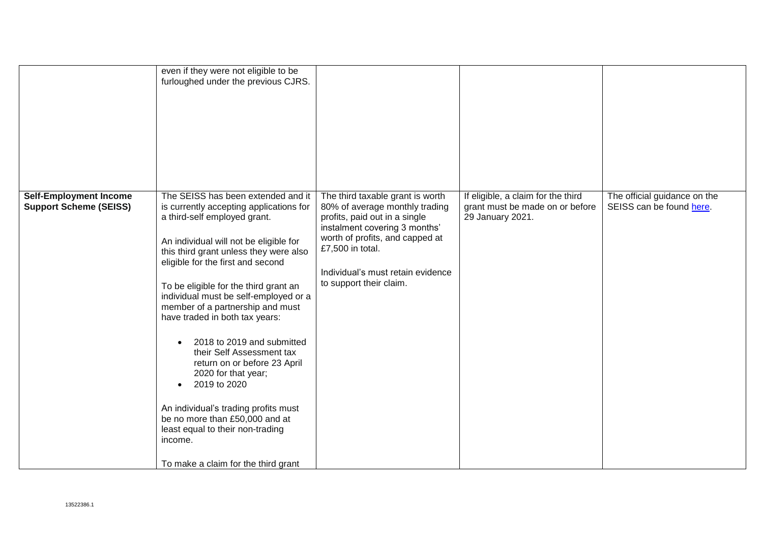|                                                                | even if they were not eligible to be<br>furloughed under the previous CJRS.                                                                                                                                                                                                                                                                                                                                                                                                                                                                                                                                                                                                                                                |                                                                                                                                                                                                                                                             |                                                                                           |                                                          |
|----------------------------------------------------------------|----------------------------------------------------------------------------------------------------------------------------------------------------------------------------------------------------------------------------------------------------------------------------------------------------------------------------------------------------------------------------------------------------------------------------------------------------------------------------------------------------------------------------------------------------------------------------------------------------------------------------------------------------------------------------------------------------------------------------|-------------------------------------------------------------------------------------------------------------------------------------------------------------------------------------------------------------------------------------------------------------|-------------------------------------------------------------------------------------------|----------------------------------------------------------|
| <b>Self-Employment Income</b><br><b>Support Scheme (SEISS)</b> | The SEISS has been extended and it<br>is currently accepting applications for<br>a third-self employed grant.<br>An individual will not be eligible for<br>this third grant unless they were also<br>eligible for the first and second<br>To be eligible for the third grant an<br>individual must be self-employed or a<br>member of a partnership and must<br>have traded in both tax years:<br>2018 to 2019 and submitted<br>$\bullet$<br>their Self Assessment tax<br>return on or before 23 April<br>2020 for that year;<br>2019 to 2020<br>$\bullet$<br>An individual's trading profits must<br>be no more than £50,000 and at<br>least equal to their non-trading<br>income.<br>To make a claim for the third grant | The third taxable grant is worth<br>80% of average monthly trading<br>profits, paid out in a single<br>instalment covering 3 months'<br>worth of profits, and capped at<br>£7,500 in total.<br>Individual's must retain evidence<br>to support their claim. | If eligible, a claim for the third<br>grant must be made on or before<br>29 January 2021. | The official guidance on the<br>SEISS can be found here. |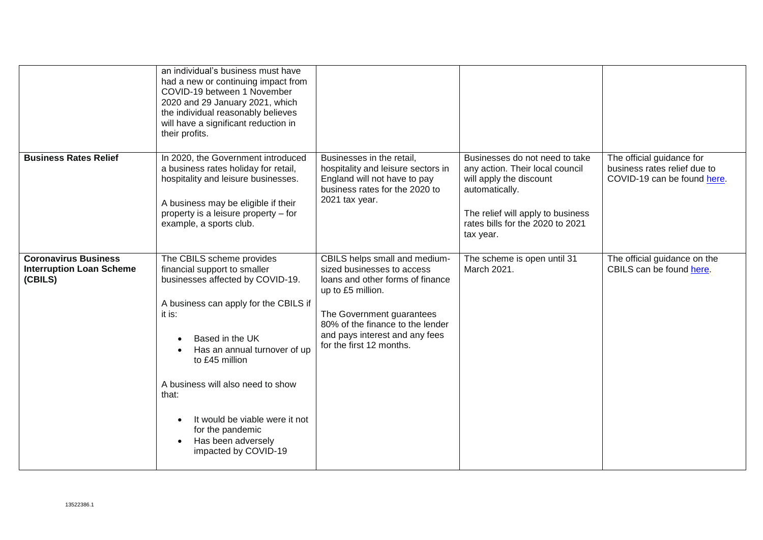|                                                                           | an individual's business must have<br>had a new or continuing impact from<br>COVID-19 between 1 November<br>2020 and 29 January 2021, which<br>the individual reasonably believes<br>will have a significant reduction in<br>their profits.                                                                                                                                          |                                                                                                                                                                                                                                                     |                                                                                                                                                                                                      |                                                                                          |
|---------------------------------------------------------------------------|--------------------------------------------------------------------------------------------------------------------------------------------------------------------------------------------------------------------------------------------------------------------------------------------------------------------------------------------------------------------------------------|-----------------------------------------------------------------------------------------------------------------------------------------------------------------------------------------------------------------------------------------------------|------------------------------------------------------------------------------------------------------------------------------------------------------------------------------------------------------|------------------------------------------------------------------------------------------|
| <b>Business Rates Relief</b>                                              | In 2020, the Government introduced<br>a business rates holiday for retail,<br>hospitality and leisure businesses.<br>A business may be eligible if their<br>property is a leisure property - for<br>example, a sports club.                                                                                                                                                          | Businesses in the retail,<br>hospitality and leisure sectors in<br>England will not have to pay<br>business rates for the 2020 to<br>2021 tax year.                                                                                                 | Businesses do not need to take<br>any action. Their local council<br>will apply the discount<br>automatically.<br>The relief will apply to business<br>rates bills for the 2020 to 2021<br>tax year. | The official guidance for<br>business rates relief due to<br>COVID-19 can be found here. |
| <b>Coronavirus Business</b><br><b>Interruption Loan Scheme</b><br>(CBILS) | The CBILS scheme provides<br>financial support to smaller<br>businesses affected by COVID-19.<br>A business can apply for the CBILS if<br>it is:<br>Based in the UK<br>Has an annual turnover of up<br>to £45 million<br>A business will also need to show<br>that:<br>It would be viable were it not<br>for the pandemic<br>Has been adversely<br>$\bullet$<br>impacted by COVID-19 | CBILS helps small and medium-<br>sized businesses to access<br>loans and other forms of finance<br>up to £5 million.<br>The Government guarantees<br>80% of the finance to the lender<br>and pays interest and any fees<br>for the first 12 months. | The scheme is open until 31<br>March 2021.                                                                                                                                                           | The official guidance on the<br>CBILS can be found here.                                 |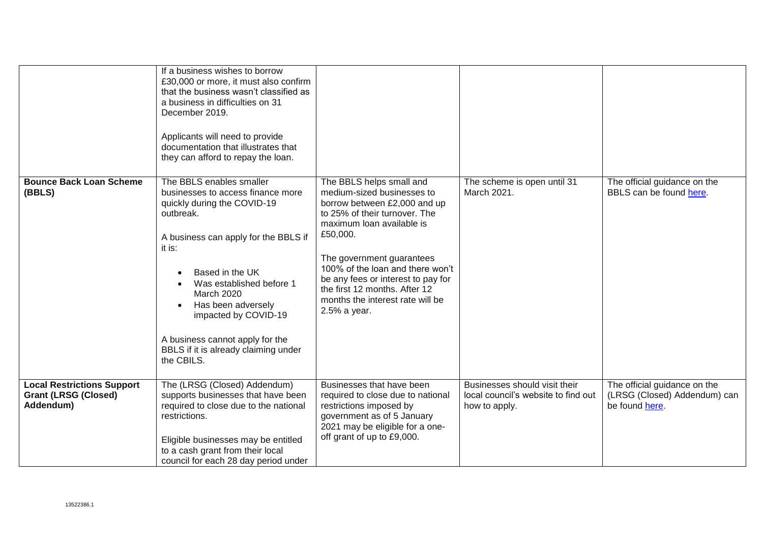|                                                                               | If a business wishes to borrow<br>£30,000 or more, it must also confirm<br>that the business wasn't classified as<br>a business in difficulties on 31<br>December 2019.<br>Applicants will need to provide<br>documentation that illustrates that<br>they can afford to repay the loan.                                                                         |                                                                                                                                                                                                                                                                                                                                                              |                                                                                       |                                                                                |
|-------------------------------------------------------------------------------|-----------------------------------------------------------------------------------------------------------------------------------------------------------------------------------------------------------------------------------------------------------------------------------------------------------------------------------------------------------------|--------------------------------------------------------------------------------------------------------------------------------------------------------------------------------------------------------------------------------------------------------------------------------------------------------------------------------------------------------------|---------------------------------------------------------------------------------------|--------------------------------------------------------------------------------|
| <b>Bounce Back Loan Scheme</b><br>(BBLS)                                      | The BBLS enables smaller<br>businesses to access finance more<br>quickly during the COVID-19<br>outbreak.<br>A business can apply for the BBLS if<br>it is:<br>Based in the UK<br>Was established before 1<br>March 2020<br>Has been adversely<br>impacted by COVID-19<br>A business cannot apply for the<br>BBLS if it is already claiming under<br>the CBILS. | The BBLS helps small and<br>medium-sized businesses to<br>borrow between £2,000 and up<br>to 25% of their turnover. The<br>maximum loan available is<br>£50,000.<br>The government guarantees<br>100% of the loan and there won't<br>be any fees or interest to pay for<br>the first 12 months. After 12<br>months the interest rate will be<br>2.5% a year. | The scheme is open until 31<br>March 2021.                                            | The official guidance on the<br>BBLS can be found here.                        |
| <b>Local Restrictions Support</b><br><b>Grant (LRSG (Closed)</b><br>Addendum) | The (LRSG (Closed) Addendum)<br>supports businesses that have been<br>required to close due to the national<br>restrictions.<br>Eligible businesses may be entitled<br>to a cash grant from their local<br>council for each 28 day period under                                                                                                                 | Businesses that have been<br>required to close due to national<br>restrictions imposed by<br>government as of 5 January<br>2021 may be eligible for a one-<br>off grant of up to £9,000.                                                                                                                                                                     | Businesses should visit their<br>local council's website to find out<br>how to apply. | The official guidance on the<br>(LRSG (Closed) Addendum) can<br>be found here. |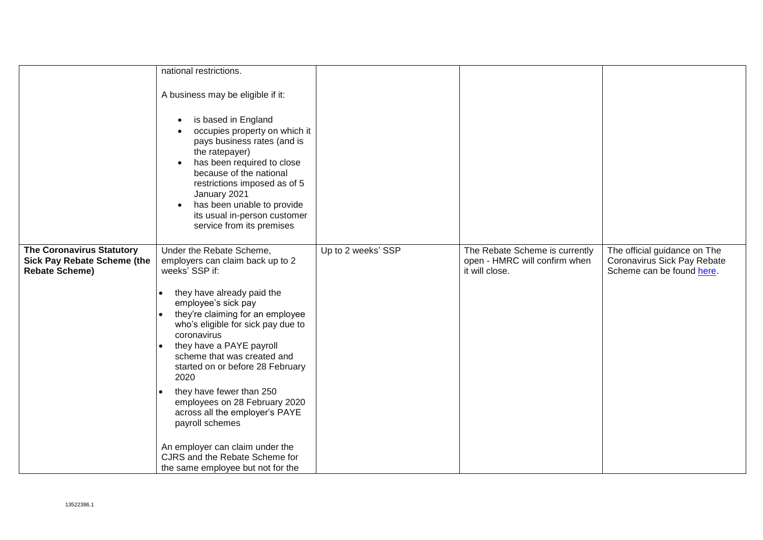|                                    | national restrictions.                                                                                                                                                                                                                                                                                                                                                                             |                    |                                |                              |
|------------------------------------|----------------------------------------------------------------------------------------------------------------------------------------------------------------------------------------------------------------------------------------------------------------------------------------------------------------------------------------------------------------------------------------------------|--------------------|--------------------------------|------------------------------|
|                                    | A business may be eligible if it:<br>is based in England<br>$\bullet$<br>occupies property on which it<br>$\bullet$<br>pays business rates (and is<br>the ratepayer)<br>has been required to close<br>$\bullet$<br>because of the national<br>restrictions imposed as of 5<br>January 2021<br>has been unable to provide<br>$\bullet$<br>its usual in-person customer<br>service from its premises |                    |                                |                              |
| <b>The Coronavirus Statutory</b>   | Under the Rebate Scheme,                                                                                                                                                                                                                                                                                                                                                                           | Up to 2 weeks' SSP | The Rebate Scheme is currently | The official guidance on The |
| <b>Sick Pay Rebate Scheme (the</b> | employers can claim back up to 2                                                                                                                                                                                                                                                                                                                                                                   |                    | open - HMRC will confirm when  | Coronavirus Sick Pay Rebate  |
| <b>Rebate Scheme)</b>              | weeks' SSP if:                                                                                                                                                                                                                                                                                                                                                                                     |                    | it will close.                 | Scheme can be found here.    |
|                                    | they have already paid the                                                                                                                                                                                                                                                                                                                                                                         |                    |                                |                              |
|                                    | employee's sick pay<br>they're claiming for an employee                                                                                                                                                                                                                                                                                                                                            |                    |                                |                              |
|                                    | who's eligible for sick pay due to                                                                                                                                                                                                                                                                                                                                                                 |                    |                                |                              |
|                                    | coronavirus                                                                                                                                                                                                                                                                                                                                                                                        |                    |                                |                              |
|                                    | they have a PAYE payroll<br>$\bullet$<br>scheme that was created and                                                                                                                                                                                                                                                                                                                               |                    |                                |                              |
|                                    | started on or before 28 February                                                                                                                                                                                                                                                                                                                                                                   |                    |                                |                              |
|                                    | 2020                                                                                                                                                                                                                                                                                                                                                                                               |                    |                                |                              |
|                                    | they have fewer than 250<br>employees on 28 February 2020                                                                                                                                                                                                                                                                                                                                          |                    |                                |                              |
|                                    | across all the employer's PAYE                                                                                                                                                                                                                                                                                                                                                                     |                    |                                |                              |
|                                    | payroll schemes                                                                                                                                                                                                                                                                                                                                                                                    |                    |                                |                              |
|                                    | An employer can claim under the                                                                                                                                                                                                                                                                                                                                                                    |                    |                                |                              |
|                                    | CJRS and the Rebate Scheme for                                                                                                                                                                                                                                                                                                                                                                     |                    |                                |                              |
|                                    | the same employee but not for the                                                                                                                                                                                                                                                                                                                                                                  |                    |                                |                              |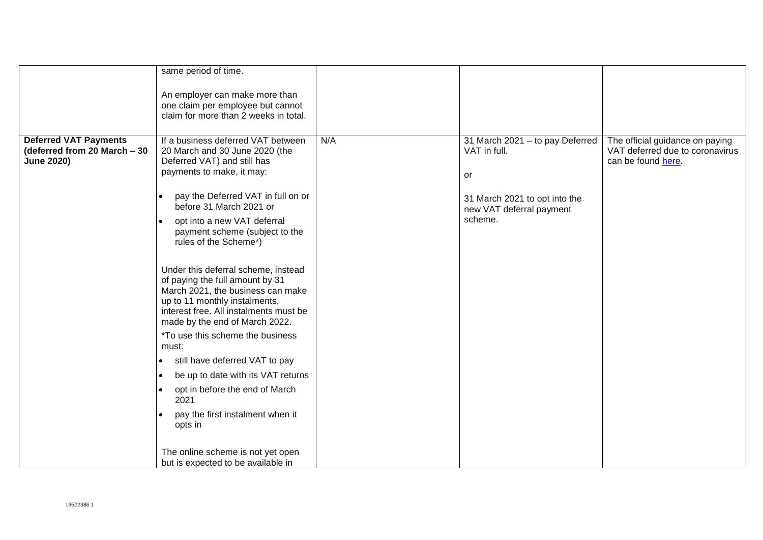|                                                                                   | same period of time.                                                                                                                                                                                                                                                                        |     |                                                                                                                               |                                                                                          |
|-----------------------------------------------------------------------------------|---------------------------------------------------------------------------------------------------------------------------------------------------------------------------------------------------------------------------------------------------------------------------------------------|-----|-------------------------------------------------------------------------------------------------------------------------------|------------------------------------------------------------------------------------------|
|                                                                                   | An employer can make more than                                                                                                                                                                                                                                                              |     |                                                                                                                               |                                                                                          |
|                                                                                   | one claim per employee but cannot                                                                                                                                                                                                                                                           |     |                                                                                                                               |                                                                                          |
|                                                                                   | claim for more than 2 weeks in total.                                                                                                                                                                                                                                                       |     |                                                                                                                               |                                                                                          |
|                                                                                   |                                                                                                                                                                                                                                                                                             |     |                                                                                                                               |                                                                                          |
| <b>Deferred VAT Payments</b><br>(deferred from 20 March - 30<br><b>June 2020)</b> | If a business deferred VAT between<br>20 March and 30 June 2020 (the<br>Deferred VAT) and still has<br>payments to make, it may:<br>pay the Deferred VAT in full on or<br>before 31 March 2021 or<br>opt into a new VAT deferral<br>payment scheme (subject to the<br>rules of the Scheme*) | N/A | 31 March 2021 - to pay Deferred<br>VAT in full.<br>or<br>31 March 2021 to opt into the<br>new VAT deferral payment<br>scheme. | The official guidance on paying<br>VAT deferred due to coronavirus<br>can be found here. |
|                                                                                   | Under this deferral scheme, instead<br>of paying the full amount by 31<br>March 2021, the business can make<br>up to 11 monthly instalments,<br>interest free. All instalments must be<br>made by the end of March 2022.                                                                    |     |                                                                                                                               |                                                                                          |
|                                                                                   | <i>*To use this scheme the business</i><br>must:                                                                                                                                                                                                                                            |     |                                                                                                                               |                                                                                          |
|                                                                                   | still have deferred VAT to pay<br>$\bullet$                                                                                                                                                                                                                                                 |     |                                                                                                                               |                                                                                          |
|                                                                                   | be up to date with its VAT returns<br>$\bullet$                                                                                                                                                                                                                                             |     |                                                                                                                               |                                                                                          |
|                                                                                   | opt in before the end of March<br>$\bullet$<br>2021                                                                                                                                                                                                                                         |     |                                                                                                                               |                                                                                          |
|                                                                                   | pay the first instalment when it<br>opts in                                                                                                                                                                                                                                                 |     |                                                                                                                               |                                                                                          |
|                                                                                   | The online scheme is not yet open<br>but is expected to be available in                                                                                                                                                                                                                     |     |                                                                                                                               |                                                                                          |